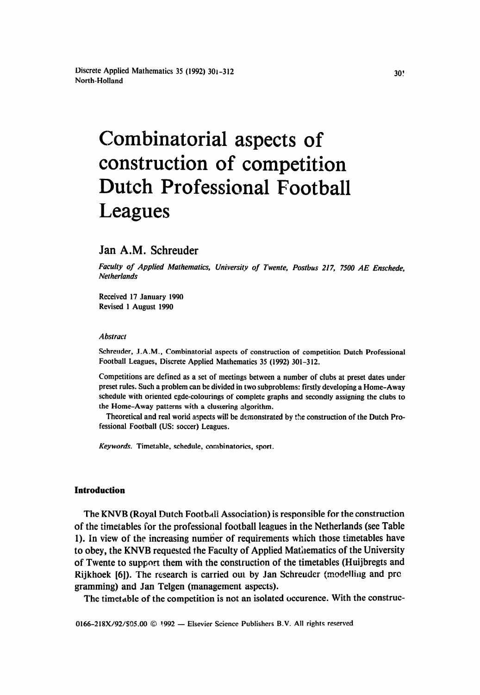# Combinatorial aspects of construction of competition Dutch Professional Football Leagues

# Jan A.M, Schreuder

*Faculty of Applied Mathematics, Universi[v of Twente, Postbus* 217, 7500 *AE Enschede, Netherlands* 

Received 17 January 1990 Revised 1 August 1990

#### *Abstract*

Schreuder, J.A.M., Combinatorial aspects of construction of competition Dutch Professional Football Leagues, Discrete Applied Mathematics 35 (1992) 301-312.

Competitions are defined as a set of meetings between a number of clubs at preset dates under preset rules. Such a problem can be divided in two subproblems: firstly developing a Home-Away schedule with oriented egde-colourings of complete graphs and secondly assigning the clubs to the Home-Away patterns with a clustering algorithm.

Theoretical and real worid aspects will be demonstrated by the construction of the Dutch Professional Football (US: soccer) Leagues.

*Keywords.* Timetable, schedule, combinatorics, sport.

#### **Introduction**

The KNVB (Royal Dutch Football Association) is responsible for the construction of the timetables for the professional football leagues in the Netherlands (see Table 1). In view of the increasing number of requirements which those timetables have to obey, the KNVB requested the Faculty of Applied Mathematics of the University of Twente to support them with the construction of the timetables (Huijbregts and Rijkhoek [6]). The research is carried out by Jan Schreuder (modelling and pro gramming) and Jan Telgen (management aspects).

The timetable of the competition is not an isolated occurence. With the construc-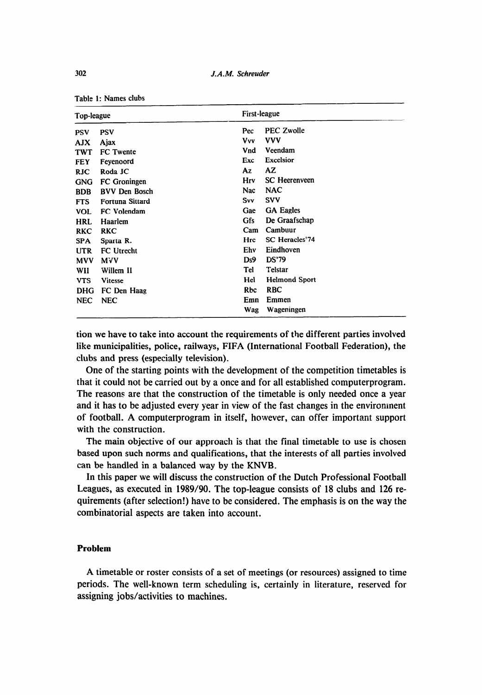| Top-league |                        |            | First-league         |  |  |  |
|------------|------------------------|------------|----------------------|--|--|--|
| <b>PSV</b> | <b>PSV</b>             | Pec        | <b>PEC Zwolle</b>    |  |  |  |
| AJX.       | Ajax                   | Vvv        | <b>VVV</b>           |  |  |  |
| <b>TWT</b> | FC Twente              | Vnd        | Veendam              |  |  |  |
| <b>FEY</b> | Feyenoord              | Exc        | <b>Excelsior</b>     |  |  |  |
| <b>RJC</b> | Roda JC                | Az         | AZ.                  |  |  |  |
| <b>GNG</b> | FC Groningen           | Hrv        | <b>SC</b> Heerenveen |  |  |  |
| <b>BDB</b> | <b>BVV Den Bosch</b>   | Nac        | <b>NAC</b>           |  |  |  |
| <b>FTS</b> | <b>Fortuna Sittard</b> | Svv        | <b>SVV</b>           |  |  |  |
| <b>VOL</b> | FC Volendam            | Gae        | <b>GA Eagles</b>     |  |  |  |
| <b>HRL</b> | Haarlem                | <b>Gfs</b> | De Graafschap        |  |  |  |
| <b>RKC</b> | RKC                    | Cam        | Cambuur              |  |  |  |
| <b>SPA</b> | Sparta R.              | Hrc        | SC Heracles'74       |  |  |  |
| <b>UTR</b> | FC Utrecht             | Ehv        | Eindhoven            |  |  |  |
| <b>MVV</b> | MVV                    | Ds9        | <b>DS'79</b>         |  |  |  |
| WII        | Willem II              | Tel        | Telstar              |  |  |  |
| <b>VTS</b> | Vitesse                | Hel        | <b>Helmond Sport</b> |  |  |  |
| <b>DHG</b> | FC Den Haag            | Rbc        | <b>RBC</b>           |  |  |  |
| <b>NEC</b> | <b>NEC</b>             | Emn        | Emmen                |  |  |  |
|            |                        | Wag        | Wageningen           |  |  |  |

Table 1: Names clubs

tion we have to take into account the requirements of the different parties involved like municipalities, police, railways, FIFA (International Football Federation), the clubs and press (especially television).

One of the starting points with the development of the competition timetables is that it could not be carried out by a once and for all established computerprogram. The reasons are that the construction of the timetable is only needed once a year and it has to be adjusted every year in view of the fast changes in the environment of football. A computerprogram in itself, however, can offer important support with the construction.

The main objective of our approach is that the final timetable to use is chosen based upon such norms and qualifications, that the interests of all parties involved can be handled in a balanced way by the KNVB.

In this paper we will discuss the construction of the Dutch Professional Football Leagues, as executed in 1989/90. The top-league consists of 18 clubs and 126 requirements (after selection!) have to be considered. The emphasis is on the way the combinatorial aspects are taken into account.

## **Problem**

A timetable or roster consists of a set of meetings (or resources) assigned to time periods. The well-known term scheduling is, certainly in literature, reserved for assigning jobs/activities to machines.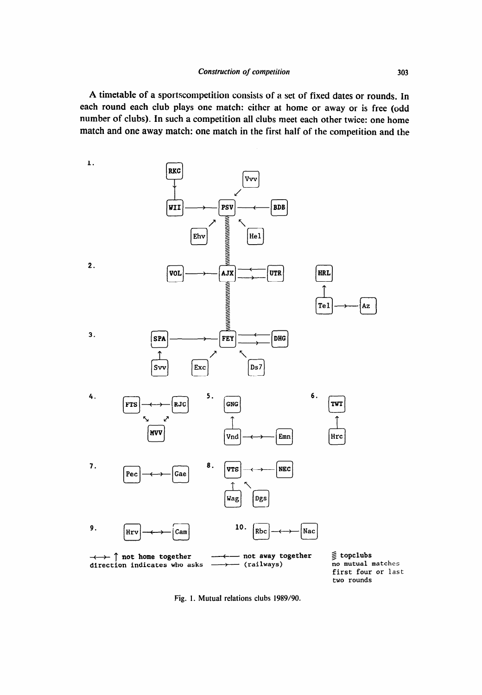A timetable of a sportscompetition consists of a set of fixed dates or rounds. In each round each club plays one match: either at home or away or is free (odd number of clubs). in such a competition all clubs meet each other twice: one home match and one away match: one match in the first half of the competition and the



Fig. 1. Mutual relations clubs 1989/90.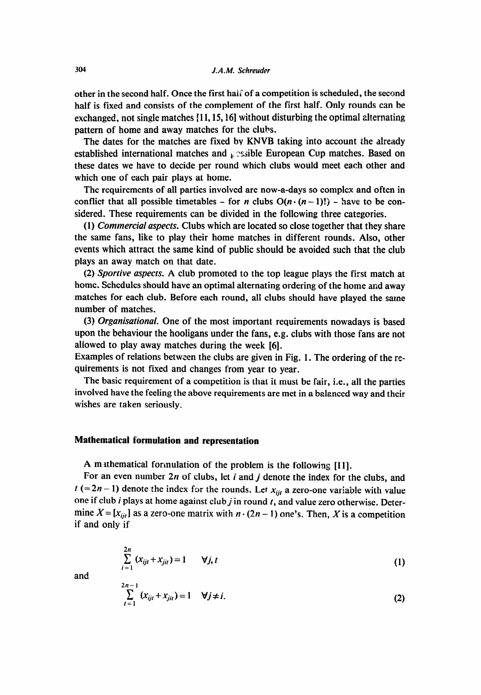other in the second half. Once the first hal: of a competition is scheduled, the second half is fixed and consists of the complement of the first half. Only rounds can be exchanged, not single matches **[l 1,15,16]** without disturbing the optimal alternating pattern of home and away matches for the clubs.

The dates for the matches are fixed bv KNVB taking into account the already established international matches and  $\mathfrak{c}$  essible European Cup matches. Based on these dates we have to decide per round which clubs would meet each other and which one of each pair plays at home.

The requirements of all parties involved are now-a-days so complex and often in conflict that all possible timetables - for *n* clubs  $O(n \cdot (n-1)!)$  - have to be considered. These requirements can be divided in the following three categories.

(1) *Commercial aspects.* Clubs which are located so close together that they share the same fans, like to play their home matches in different rounds. Also, other events which attract the same kind of public should be avoided such that the club plays an away match on that date.

(2) *Sportive aspects.* A club promoted to the top league plays the first match at home. Schedules should have an optimal alternating ordering of the home and away matches for each club. Before each round, all clubs should have played the same number of matches.

(3) *Organisational.* One of the most important requirements nowadays is based upon the behaviour the hooligans under the fans, e.g. clubs with those fans are not allowed to play away matches during the week [6].

Examples of relations between the clubs are given in Fig. 1. The ordering of the requirements is not fixed and changes from year to year.

The basic requirement of a competition is that it must be fair, i.e., all the parties involved have the feeling the above requirements are met in a balanced way and their wishes are taken seriously.

## **Mathematical formulation and representation**

A mathematical formulation of the problem is the following [11].

For an even number *2n* of clubs, let i and j denote the index for the clubs, and  $t (= 2n - 1)$  denote the index for the rounds. Let  $x_{ijt}$  a zero-one variable with value one if club *i* plays at home against club *j* in round *t*, and value zero otherwise. Determine  $X = [x_{ij}]$  as a zero-one matrix with  $n \cdot (2n - 1)$  one's. Then, X is a competition if and only if

$$
\sum_{i=1}^{2n} (x_{ijt} + x_{jit}) = 1 \qquad \forall j, t
$$
 (1)

and

$$
\sum_{i=1}^{2n-1} (x_{ij} + x_{jii}) = 1 \quad \forall j \neq i.
$$
 (2)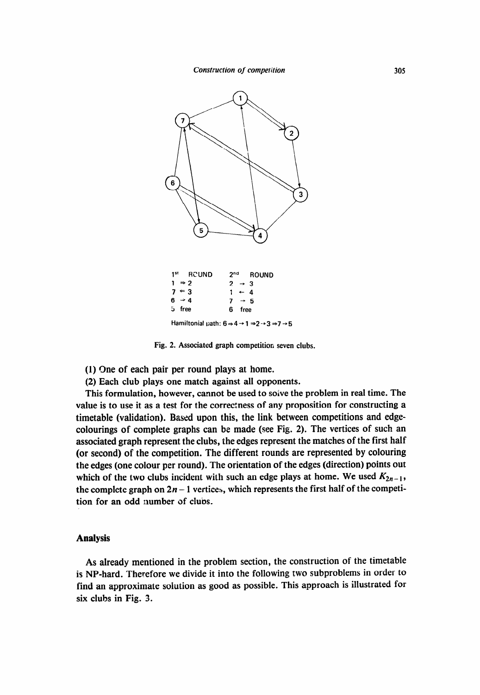

|        | 1st RCUND         |                   | 2nd ROUND |
|--------|-------------------|-------------------|-----------|
|        | $1 \Rightarrow 2$ | $2 \rightarrow 3$ |           |
|        | $7 = 3$           | $1 + 4$           |           |
|        | $6 \rightarrow 4$ | $7 \rightarrow 5$ |           |
| 5 free |                   | 6 free            |           |
|        |                   |                   |           |

Hamiltonial path:  $6 \Rightarrow 4 \rightarrow 1 \Rightarrow 2 \rightarrow 3 \Rightarrow 7 \rightarrow 5$ 

**Fig. 2. Associated graph competition seven clubs.** 

(1) One of each pair per round plays at home.

(2) Each club plays one match against all opponents.

This formulation, however, cannot be used to solve the problem in real time. The value is to use it as a test for the correctness of any proposition for constructing a timetable (validation). Based upon this, the link between competitions and edgecolourings of complete graphs can be made (see Fig. 2). The vertices of such an associated graph represent the clubs, the edges represent the matches of the first half (or second) of the competition. The different rounds are represented by colouring the edges (one colour per round). The orientation of the edges (direction) points out which of the two clubs incident with such an edge plays at home. We used  $K_{2n-1}$ , the complete graph on  $2n - 1$  vertices, which represents the first half of the competition for an odd number of clubs.

## **Analysis**

As already mentioned in the problem section, the construction of the timetable is NP-hard. Therefore we divide it into the following two subproblems in order to find an approximate solution as good as possible. This approach is illustrated for six clubs in Fig. 3.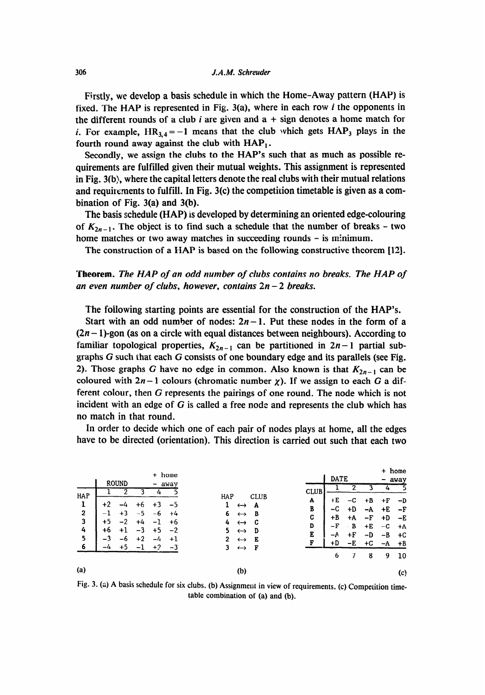Firstly, we develop a basis schedule in which the Home-Away pattern (HAP) is fixed. The HAP is represented in Fig.  $3(a)$ , where in each row *i* the opponents in the different rounds of a club *i* are given and  $a + sign$  denotes a home match for *i*. For example,  $HR_{3,4} = -1$  means that the club which gets  $HAP_3$  plays in the fourth round away against the club with  $HAP<sub>1</sub>$ .

Secondly, we assign the clubs to the HAP's such that as much as possible requirements are fulfilled given their mutual weights. This assignment is represented in Fig. 3(b), where the capital letters denote the real clubs with their mutual relations and requirements to fulfill. In Fig.  $3(c)$  the competition timetable is given as a combination of Fig. 3(a) and 3(b).

The basis schedule (HAP) is developed by determining an oriented edge-colouring of  $K_{2n-1}$ . The object is to find such a schedule that the number of breaks – two home matches or two away matches in succeeding rounds - is minimum.

The construction of a HAP is based on the following constructive theorem [12].

# *Theorem. The HAP of an odd number of clubs contains no breaks. The HAP of an even number of clubs, however, contains 2n - 2 breaks.*

The following starting points are essential for the construction of the HAP's.

Start with an odd number of nodes:  $2n - 1$ . Put these nodes in the form of a  $(2n - 1)$ -gon (as on a circle with equal distances between neighbours). According to familiar topological properties,  $K_{2n-1}$  can be partitioned in  $2n-1$  partial subgraphs G such that each G consists of one boundary edge and its parallels (see Fig. 2). Those graphs G have no edge in common. Also known is that  $K_{2n-1}$  can be coloured with  $2n-1$  colours (chromatic number  $\chi$ ). If we assign to each G a different colour, then G represents the pairings of one round. The node which is not incident with an edge of G is called a free node and represents the club which has no match in that round.

In order to decide which one of each pair of nodes plays at home, all the edges have to be directed (orientation). This direction is carried out such that each two

|                     |                                  |              |           |                              | + home       |                                                                       |             |                 |          | + home   |                   |
|---------------------|----------------------------------|--------------|-----------|------------------------------|--------------|-----------------------------------------------------------------------|-------------|-----------------|----------|----------|-------------------|
|                     |                                  | <b>ROUND</b> |           |                              |              |                                                                       | <b>DATE</b> |                 |          |          | away              |
| HAP                 |                                  |              |           | $\qquad \qquad \blacksquare$ | away         | <b>CLUB</b><br><b>CLUB</b><br>HAP                                     |             |                 |          |          |                   |
| ı<br>$\overline{2}$ | $+7$<br>$\overline{\phantom{0}}$ | -4<br>$+3$   | $-5$      |                              | -5<br>$+4$   | A<br>1<br>A<br>$\leftrightarrow$<br>B                                 | +E<br>-C    | $-c$<br>+D      | +B<br>-A | +F<br>+E | – D<br>-5         |
| 3                   | +5                               | -2           | +4        | -6<br>- 1                    | +6           | 6<br>в<br>$\leftrightarrow$<br>C<br>C<br>$\leftrightarrow$<br>4<br>D  | +B<br>–F    | $+A$<br>В<br>×. | –F<br>+E | +D<br>-C | -E<br>+A          |
| 4<br>5              | +6<br>-3                         | +1<br>-6     | ٩<br>$+2$ | $+5$<br>-4                   | $-2$<br>$+1$ | 5.<br>D<br>$\leftrightarrow$<br>E<br>2<br>E<br>$\leftrightarrow$<br>F | -A<br>+D    | +F<br>-E        | -D<br>+C | -B       | +C                |
| 6                   |                                  | +5           |           | $+2$                         | -3           | 3<br>F<br>$\leftrightarrow$                                           | 6           |                 | 8        | -A<br>9  | $+B$<br>10        |
| (a)                 |                                  |              |           |                              |              | (b)                                                                   |             |                 |          |          | $\left( c\right)$ |

Fig. 3. (a) A basis schedule for six clubs. (b) Assignment in view of requirements. (c) Competition timetable combination of (a) and (b).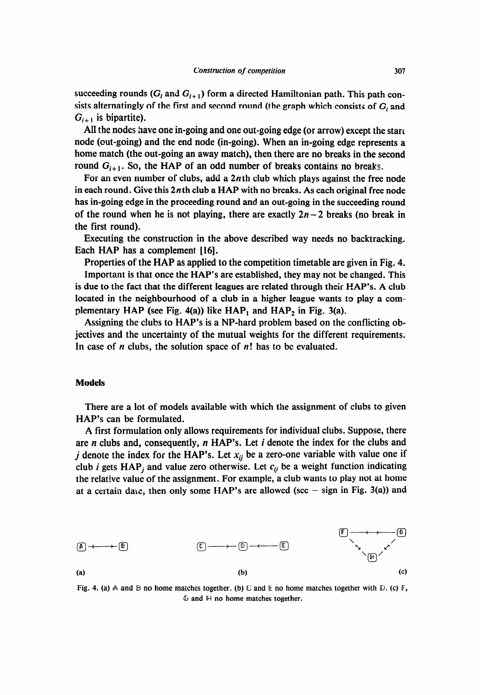succeeding rounds  $(G_i$  and  $G_{i+1}$ ) form a directed Hamiltonian path. This path consists alternatingly of the first and second round (the graph which consists of  $G_i$  and  $G_{i+1}$  is bipartite).

All the nodes have one in-going and one out-going edge (or arrow) except the start node (out-going) and the end node (in-going). When an in-going edge represents a home match (the out-going an away match), then there are no breaks in the second round  $G_{i+1}$ . So, the HAP of an odd number of breaks contains no breaks.

For an even number of clubs, add a 2nth club which plays against the free node in each round. Give this  $2n$ th club a HAP with no breaks. As each original free node has in-going edge in the proceeding round and an out-going in the succeeding round of the round when he is not playing, there are exactly  $2n-2$  breaks (no break in the first round).

Executing the construction in the above described way needs no backtracking. Each HAP has a complement [16].

Properties of the HAP as applied to the competition timetable are given in Fig. 4. Important is that once the HAP's are established, they may not be changed. This is due to the fact that the different leagues are related through their HAP's. A club located in the neighbourhood of a club in a higher league wants to play a complementary HAP (see Fig. 4(a)) like  $HAP_1$  and  $HAP_2$  in Fig. 3(a).

Assigning the clubs to HAP's is a NP-hard problem based on the conflicting objectives and the uncertainty of the mutual weights for the different requirements. In case of *n* clubs, the solution space of n! has to be evaluated.

## **Models**

There are a lot of models available with which the assignment of clubs to given HAP's can be formulated.

A first formulation only allows requirements for individual clubs. Suppose, there are n clubs and, consequently, *n* HAP's. Let i denote the index for the clubs and j denote the index for the **HAP**'s. Let  $x_{ij}$  be a zero-one variable with value one if club *i* gets HAP<sub>i</sub> and value zero otherwise. Let  $c_{ij}$  be a weight function indicating the relative value of the assignment. For example, a club wants to play not at home at a certain date, then only some HAP's are allowed (see  $-$  sign in Fig. 3(a)) and



Fig. 4. (a)  $\land$  and  $\land$  no home matches together. (b)  $\lor$  and  $\lor$  no home matches together with  $\lor$ . (c)  $\lor$ , G and IH no home matches together.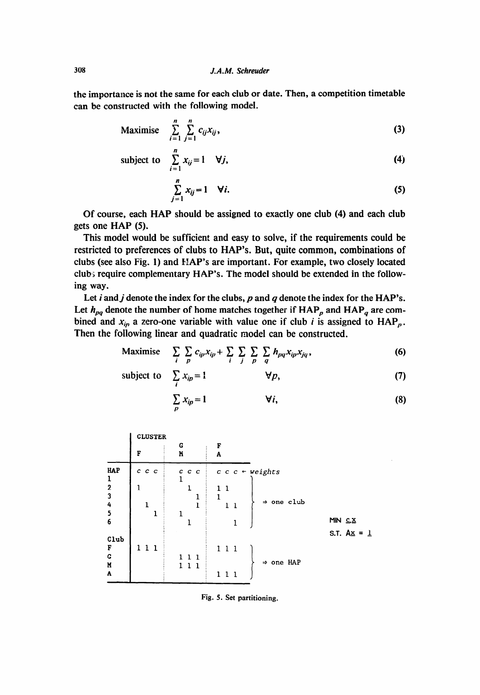*the* **importance is not the** same for each club or date. Then, a competition timetable **can be** constructed with the following model.

$$
\text{Maximise} \quad \sum_{i=1}^{n} \sum_{j=1}^{n} c_{ij} x_{ij}, \tag{3}
$$

subject to 
$$
\sum_{i=1}^{n} x_{ij} = 1 \quad \forall j,
$$
 (4)

$$
\sum_{j=1}^{n} x_{ij} = 1 \quad \forall i. \tag{5}
$$

Of course, each HAP should be assigned to exactly one club (4) and each club gets one HAP (5).

This model would be sufficient and easy to solve, if the requirements could be restricted to preferences of clubs to HAP's. But, quite common, combinations of clubs (see also Fig. 1) and HAP's are important. For example, two closely located club.5 require complementary HAP's. The model should be extended in the following way.

Let i and j denote the index for the clubs, p and q denote the index for the HAP's. Let  $h_{pq}$  denote the number of home matches together if  $HAP_p$  and  $HAP_q$  are combined and  $x_{ip}$  a zero-one variable with value one if club *i* is assigned to  $HAP_p$ . Then the following linear and quadratic model can be constructed.

Maximise 
$$
\sum_{i} \sum_{p} c_{ip} x_{ip} + \sum_{i} \sum_{j} \sum_{p} \sum_{q} h_{pq} x_{ip} x_{jq},
$$
 (6)

subject to 
$$
\sum_{i} x_{ip} = 1 \qquad \forall p,
$$
 (7)

$$
\sum_{p} x_{ip} = 1 \qquad \qquad \forall i,
$$
 (8)

| <b>CLUSTER</b> |                |                                            |                         |  |  |  |
|----------------|----------------|--------------------------------------------|-------------------------|--|--|--|
| F              | G<br>M         | F<br>A                                     |                         |  |  |  |
| $c$ $c$ $c$    | $c\ c\ c$<br>1 | $c \ c \ \textit{c} \ \textit{+ weights}$  |                         |  |  |  |
| 1              | 1              | $\mathbf{1}$<br>1<br>1<br>⇒ one club<br>11 |                         |  |  |  |
|                |                |                                            | MIN CX<br>S.T. $Ax = 1$ |  |  |  |
| 111            | 111<br>111     | 111<br>$\Rightarrow$ one HAP<br>111        |                         |  |  |  |
|                | 1<br>1         | 1<br>1                                     |                         |  |  |  |

Fig. 5. Set partitioning.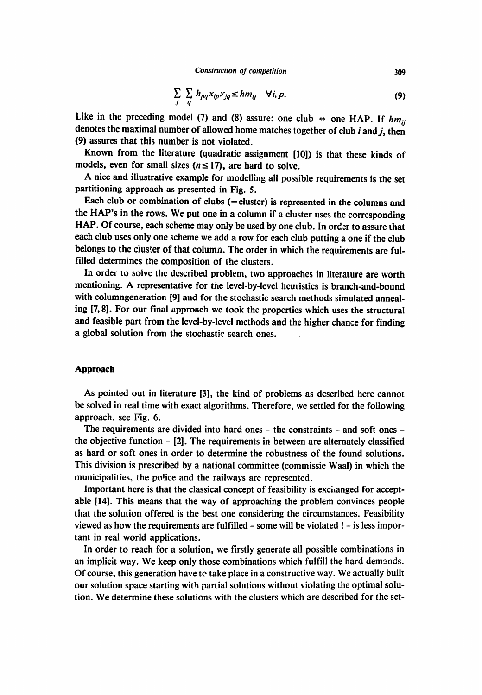$$
\sum_{j} \sum_{q} h_{pq} x_{ip} x_{jq} \leq h m_{ij} \quad \forall i, p. \tag{9}
$$

Like in the preceding model (7) and (8) assure: one club  $\Leftrightarrow$  one HAP. If  $hm_{ij}$ denotes the maximal number of allowed home matches together of club *i* and j, then (9) assures that this number is not violated.

Known from the literature (quadratic assignment [lo]) is that these kinds of models, even for small sizes  $(n \leq 17)$ , are hard to solve.

A nice and illustrative example for modelling all possible requirements is the set partitioning approach as presented in Fig. 5.

Each club or combination of clubs (= cluster) is represented in the columns and the HAP's in the rows. We put one in a column if a cluster uses the corresponding HAP. Of course, each scheme may only be used by one club. In order to assure that each club uses only one scheme we add a row for each club putting a one if the club belongs to the ciuster of that column. The order in which the requirements are fulfilled determines the composition of the clusters.

In order to solve the described problem, two approaches in literature are worth mentioning. A representative for the level-by-level heuristics is branch-and-bound with columngeneration [9] and for the stochastic search methods simulated annealing [7,8]. For our final approach we took the properties which uses the structural and feasible part from the level-by-level methods and the higher chance for finding a global solution from the stochastic search ones.

## Approach

AS pointed out in literature [3], the kind of problems as described here cannot be solved in real time with exact algorithms. Therefore, we settled for the following approach, see Fig. 6.

The requirements are divided into hard ones - the constraints - and soft ones the objective function - [2]. The requirements in between are alternately classified as hard or soft ones in order to determine the robustness of the found solutions. This division is prescribed by a national committee (commissie Waal) in which the municipalities, the police and the railways are represented.

Important here is that the classical concept of feasibility is exchanged for acceptable [14]. This means that the way of approaching the problem convinces people that the solution offered is the best one considering the circumstances. Feasibility viewed as how the requirements are fulfilled - some will be violated ! - is less important in real world applications.

In order to reach for a solution, we firstly generate all possible combinations in an implicit way. We keep only those combinations which fulfill the hard demands. Of course, this generation have to take place in a constructive way. We actually built our solution space starting with partial solutions without violating the optimal solution. We determine these solutions with the clusters which are described for the set-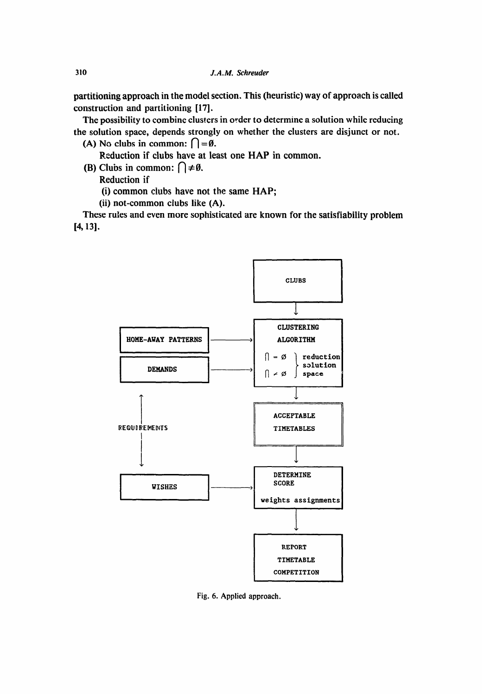partitioning approach in the model section. This (heuristic) way of approach is called construction and partitioning [17].

The possibility to combine clusters in order to determine a solution while reducing the solution space, depends strongly on whether the clusters are disjunct or not.

(A) No clubs in common:  $\bigcap = \emptyset$ .

Reduction if clubs have at least one HAP in common.

(B) Clubs in common:  $\bigcap \neq \emptyset$ .

Reduction if

(i) common clubs have not the same HAP;

(ii) not-common clubs like (A).

These rules and even more sophisticated are known for the satisfiability problem [4,131.



Fig. 6. Applied approach.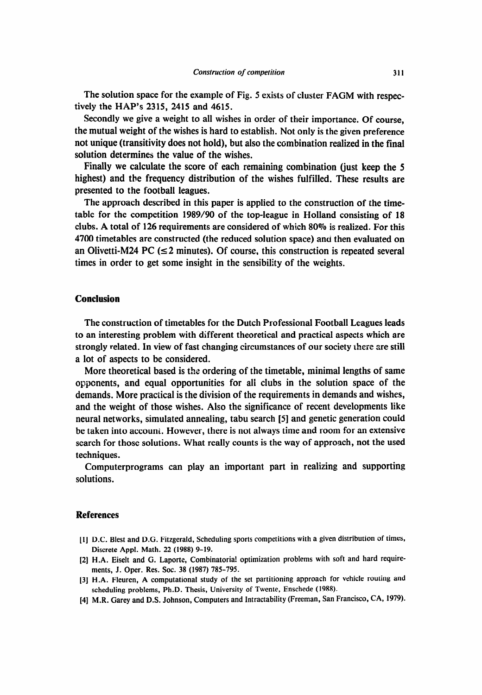The solution space for the example of Fig. 5 exists of cluster FAGM with respectively the HAP's 2315, 2415 and 4615.

Secondly we give a weight to all wishes in order of their importance. Of course, the mutual weight of the wishes is hard to establish. Not only is the given preference not unique (transitivity does not hold), but also the combination realized in the final solution determines the value of the wishes.

Finally we calculate the score of each remaining combination (just keep the 5 highest) and tbe frequency distribution of the wishes fulfilled. These results are presented to the football leagues.

The approach described in this paper is applied to the construction of the timetable for the competition 1989/90 of the top-league in Holland consisting of 18 clubs. A total of 126 requirements are considered of which 80% is realized. For this 4700 timetables are constructed (the reduced solution space) and then evaluated on an Olivetti-M24 PC ( $\leq$ 2 minutes). Of course, this construction is repeated several times in order to get some insight in the sensibility of the weights.

# **Conclusion**

The construction of timetables for the Dutch Professional Football Leagues leads to an interesting problem with different theoretical and practical aspects which are strongly related. In view of fast changing circumstances of our society there are still a lot of aspects to be considered.

More theoretical based is the ordering of the timetable, minimal lengths of same opponents, and equal opportunities for all clubs in the solution space of the demands. More practical is the division of the requirements in demands and wishes, and the weight of those wishes. Also the significance of recent developments like neural networks, simulated annealing, tabu search [5] and genetic generation could be taken into account. However, there is not always time and room for an extensive search for those solutions. What really counts is the way of approach, not the used techniques.

Computerprograms can play an important part in realizing and supporting solutions.

## **References**

- [l] D.C. Blest and D.G. Fitzgerald, Scheduling sports competitions with a given distribution of times, Discrete Appl. Math. 22 (1988) 9-19.
- [2] H.A. Eiselt and G. Laporte, Combinatoria! optimization problems with soft and hard requirements, J. Oper. Res. Soc. 38 (1987) 785-795.
- [3] H.A. Fleuren, A computational study of the set partitioning approach for vehicle routing and scheduling problems, Ph.D. Thesis, University of Twente, Enschede (1988).
- [4] M.R. Carey and D.S. Johnson, Computers and Intractability (Freeman, San Francisco, **CA, 197%**